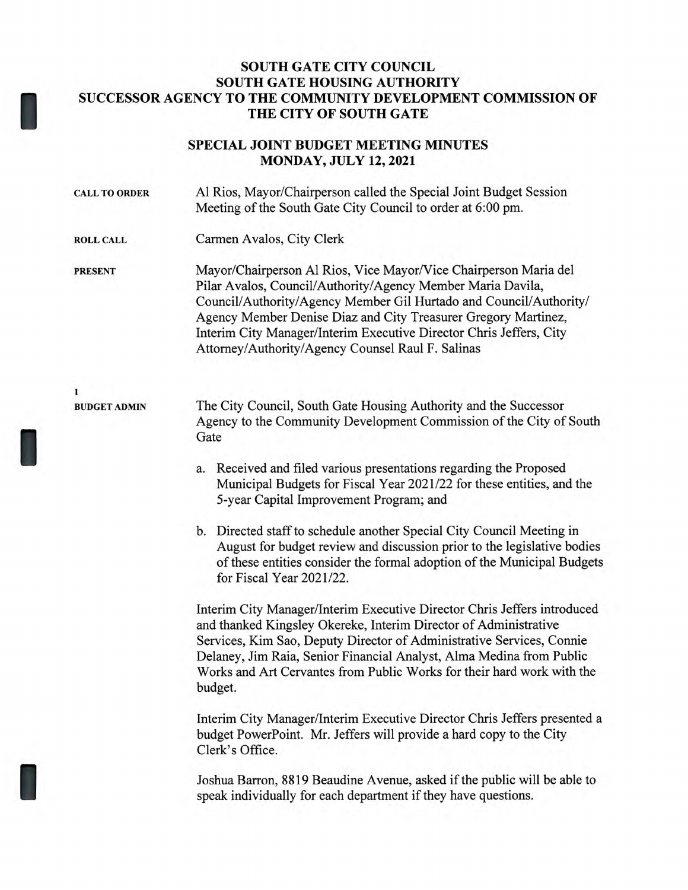## **SOUTH GATE CITY COUNCIL SOUTH GATE HOUSING AUTHORITY SUCCESSOR AGENCY TO THE COMMUNITY DEVELOPMENT COMMISSION OF THE CITY OF SOUTH GATE**

I

I

I

## **SPECIAL JOINT BUDGET MEETING MINUTES MONDAY, JULY 12, 2021**

| <b>CALL TO ORDER</b> | Al Rios, Mayor/Chairperson called the Special Joint Budget Session<br>Meeting of the South Gate City Council to order at 6:00 pm.                                                                                                                                                                                                                                                                   |
|----------------------|-----------------------------------------------------------------------------------------------------------------------------------------------------------------------------------------------------------------------------------------------------------------------------------------------------------------------------------------------------------------------------------------------------|
| <b>ROLL CALL</b>     | Carmen Avalos, City Clerk                                                                                                                                                                                                                                                                                                                                                                           |
| <b>PRESENT</b>       | Mayor/Chairperson Al Rios, Vice Mayor/Vice Chairperson Maria del<br>Pilar Avalos, Council/Authority/Agency Member Maria Davila,<br>Council/Authority/Agency Member Gil Hurtado and Council/Authority/<br>Agency Member Denise Diaz and City Treasurer Gregory Martinez,<br>Interim City Manager/Interim Executive Director Chris Jeffers, City<br>Attorney/Authority/Agency Counsel Raul F. Salinas |
| 1                    |                                                                                                                                                                                                                                                                                                                                                                                                     |
| <b>BUDGET ADMIN</b>  | The City Council, South Gate Housing Authority and the Successor<br>Agency to the Community Development Commission of the City of South<br>Gate                                                                                                                                                                                                                                                     |
|                      | 2 Received and filed various presentations regarding the Proposed                                                                                                                                                                                                                                                                                                                                   |

- Received and filed various presentations regarding the Proposed Municipal Budgets for Fiscal Year 2021/22 for these entities, and the 5-year Capital Improvement Program; and
- b. Directed staff to schedule another Special City Council Meeting in August for budget review and discussion prior to the legislative bodies of these entities consider the formal adoption of the Municipal Budgets for Fiscal Year 2021/22.

Interim City Manager/Interim Executive Director Chris Jeffers introduced and thanked Kingsley Okereke, Interim Director of Administrative Services, Kim Sao, Deputy Director of Administrative Services, Connie Delaney, Jim Raia, Senior Financial Analyst, Alma Medina from Public Works and Art Cervantes from Public Works for their hard work with the budget.

Interim City Manager/Interim Executive Director Chris Jeffers presented a budget PowerPoint. Mr. Jeffers will provide a hard copy to the City Clerk's Office.

Joshua Barron, 8819 Beaudine Avenue, asked if the public will be able to speak individually for each department if they have questions.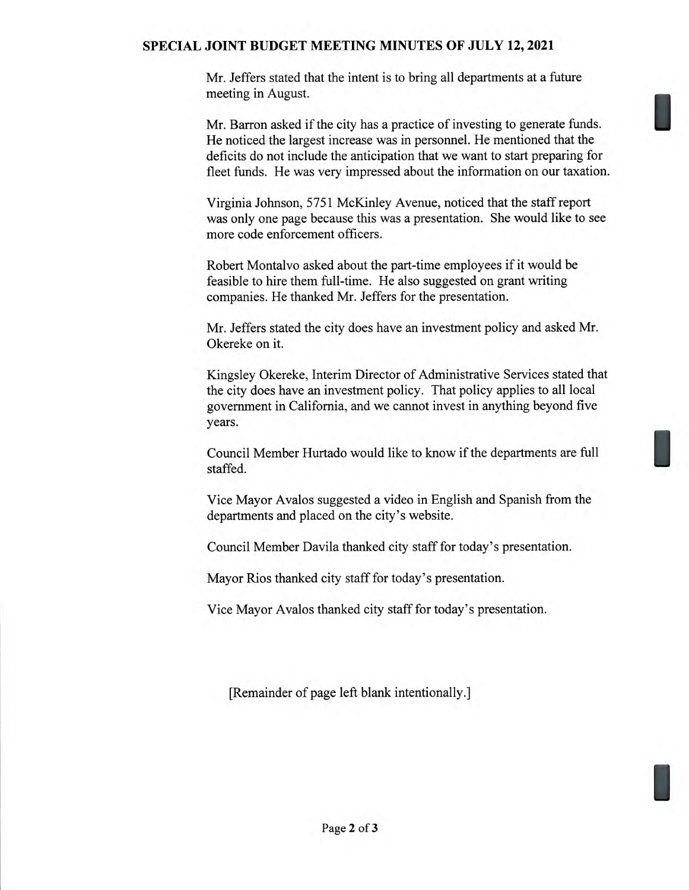## **SPECIAL JOINT BUDGET MEETING MINUTES OF JULY 12, 2021**

Mr. Jeffers stated that the intent is to bring all departments at a future meeting in August.

Mr. Barron asked if the city has a practice of investing to generate funds. He noticed the largest increase was in personnel. He mentioned that the deficits do not include the anticipation that we want to start preparing for fleet funds. He was very impressed about the information on our taxation.

Virginia Johnson, 5751 McKinley Avenue, noticed that the staff report was only one page because this was a presentation. She would like to see more code enforcement officers.

Robert Montalvo asked about the part-time employees if it would be feasible to hire them full-time. He also suggested on grant writing companies. He thanked Mr. Jeffers for the presentation.

Mr. Jeffers stated the city does have an investment policy and asked Mr. Okereke on it.

Kingsley Okereke, Interim Director of Administrative Services stated that the city does have an investment policy. That policy applies to all local government in California, and we cannot invest in anything beyond five years.

Council Member Hurtado would like to know if the departments are full staffed.

Vice Mayor Avalos suggested a video in English and Spanish from the departments and placed on the city's website.

Council Member Davila thanked city staff for today's presentation.

Mayor Rios thanked city staff for today's presentation.

Vice Mayor Avalos thanked city staff for today's presentation.

[Remainder of page left blank intentionally.]